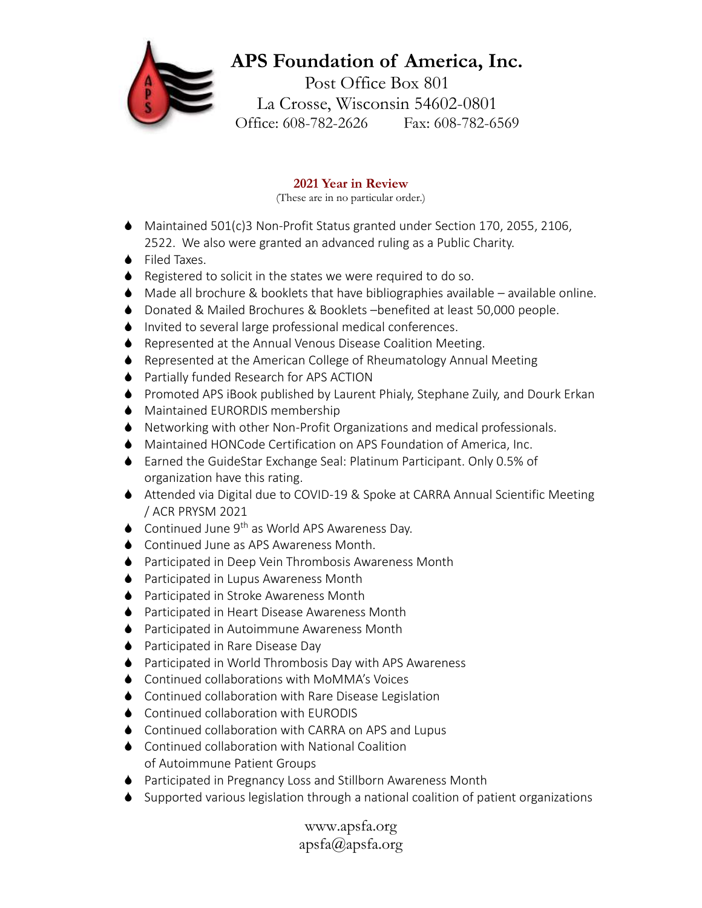# **APS Foundation of America, Inc.**

Post Office Box 801 La Crosse, Wisconsin 54602-0801 Office: 608-782-2626 Fax: 608-782-6569

### **2021 Year in Review**

(These are in no particular order.)

- Maintained 501(c)3 Non-Profit Status granted under Section 170, 2055, 2106, 2522. We also were granted an advanced ruling as a Public Charity.
- ◆ Filed Taxes.
- ♦ Registered to solicit in the states we were required to do so.
- $\blacklozenge$  Made all brochure & booklets that have bibliographies available available online.
- Donated & Mailed Brochures & Booklets –benefited at least 50,000 people.
- Invited to several large professional medical conferences.
- ♦ Represented at the Annual Venous Disease Coalition Meeting.
- ♦ Represented at the American College of Rheumatology Annual Meeting
- ♦ Partially funded Research for APS ACTION
- Promoted APS iBook published by Laurent Phialy, Stephane Zuily, and Dourk Erkan
- Maintained EURORDIS membership
- Networking with other Non-Profit Organizations and medical professionals.
- Maintained HONCode Certification on APS Foundation of America, Inc.
- Earned the GuideStar Exchange Seal: Platinum Participant. Only 0.5% of organization have this rating.
- Attended via Digital due to COVID-19 & Spoke at CARRA Annual Scientific Meeting / ACR PRYSM 2021
- $\bullet$  Continued June 9<sup>th</sup> as World APS Awareness Day.
- ◆ Continued June as APS Awareness Month.
- ♦ Participated in Deep Vein Thrombosis Awareness Month
- ♦ Participated in Lupus Awareness Month
- ♦ Participated in Stroke Awareness Month
- ♦ Participated in Heart Disease Awareness Month
- **◆** Participated in Autoimmune Awareness Month
- ♦ Participated in Rare Disease Day
- ♦ Participated in World Thrombosis Day with APS Awareness
- Continued collaborations with MoMMA's Voices
- Continued collaboration with Rare Disease Legislation
- ♦ Continued collaboration with EURODIS
- ♦ Continued collaboration with CARRA on APS and Lupus
- ♦ Continued collaboration with National Coalition of Autoimmune Patient Groups
- ♦ Participated in Pregnancy Loss and Stillborn Awareness Month
- Supported various legislation through a national coalition of patient organizations

www.apsfa.org apsfa@apsfa.org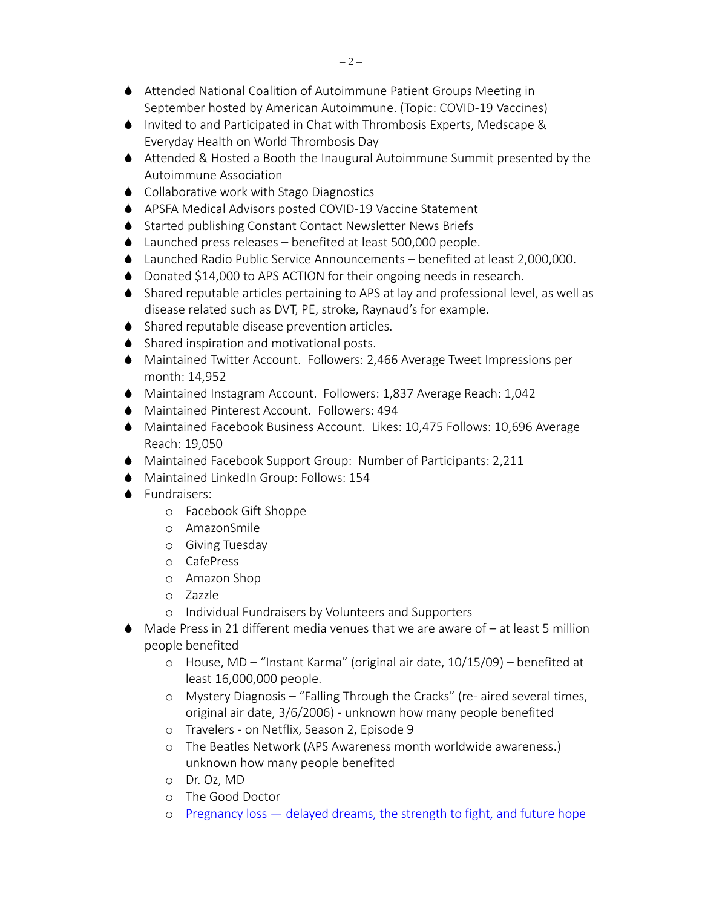- Attended National Coalition of Autoimmune Patient Groups Meeting in September hosted by American Autoimmune. (Topic: COVID-19 Vaccines)
- ♦ Invited to and Participated in Chat with Thrombosis Experts, Medscape & Everyday Health on World Thrombosis Day
- Attended & Hosted a Booth the Inaugural Autoimmune Summit presented by the Autoimmune Association
- ♦ Collaborative work with Stago Diagnostics
- APSFA Medical Advisors posted COVID-19 Vaccine Statement
- ♦ Started publishing Constant Contact Newsletter News Briefs
- ◆ Launched press releases benefited at least 500,000 people.
- Launched Radio Public Service Announcements benefited at least 2,000,000.
- ♦ Donated \$14,000 to APS ACTION for their ongoing needs in research.
- Shared reputable articles pertaining to APS at lay and professional level, as well as disease related such as DVT, PE, stroke, Raynaud's for example.
- Shared reputable disease prevention articles.
- ♦ Shared inspiration and motivational posts.
- Maintained Twitter Account. Followers: 2,466 Average Tweet Impressions per month: 14,952
- Maintained Instagram Account. Followers: 1,837 Average Reach: 1,042
- Maintained Pinterest Account. Followers: 494
- Maintained Facebook Business Account. Likes: 10,475 Follows: 10,696 Average Reach: 19,050
- Maintained Facebook Support Group: Number of Participants: 2,211
- Maintained LinkedIn Group: Follows: 154
- **▲** Fundraisers:
	- o Facebook Gift Shoppe
	- o AmazonSmile
	- o Giving Tuesday
	- o CafePress
	- o Amazon Shop
	- o Zazzle
	- o Individual Fundraisers by Volunteers and Supporters
- $\blacklozenge$  Made Press in 21 different media venues that we are aware of  $-$  at least 5 million people benefited
	- o House, MD "Instant Karma" (original air date, 10/15/09) benefited at least 16,000,000 people.
	- o Mystery Diagnosis "Falling Through the Cracks" (re- aired several times, original air date, 3/6/2006) - unknown how many people benefited
	- o Travelers on Netflix, Season 2, Episode 9
	- o The Beatles Network (APS Awareness month worldwide awareness.) unknown how many people benefited
	- o Dr. Oz, MD
	- o The Good Doctor
	- o Pregnancy loss [delayed dreams, the strength to fight, and future hope](https://www.medicalnewstoday.com/articles/through-my-eyes-pregnancy-loss-delayed-dreams-the-strength-to-fight-and-future-hope)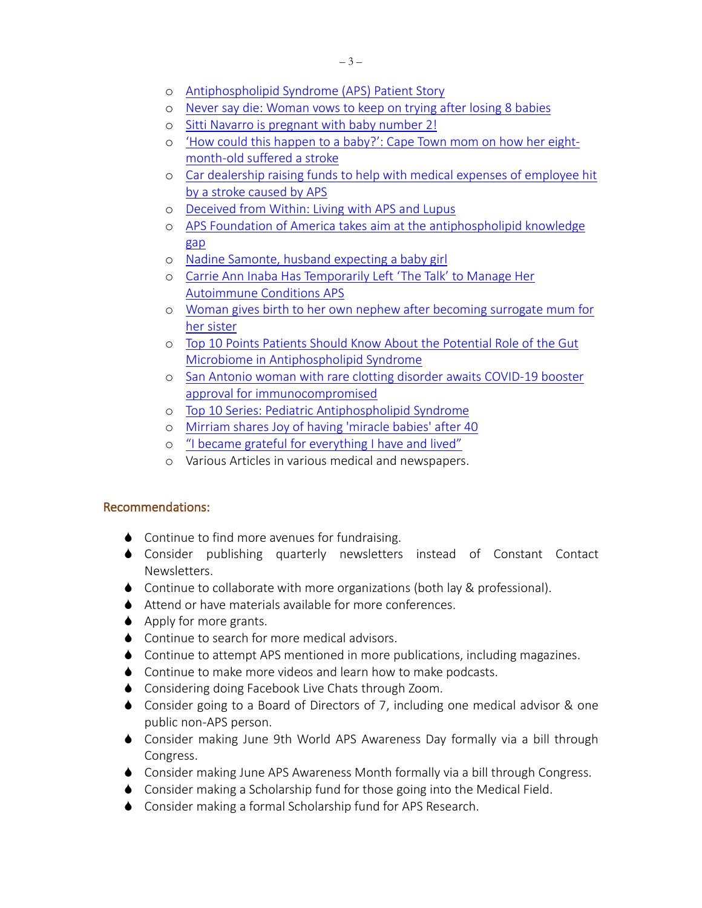- o [Antiphospholipid Syndrome \(APS\) Patient Story](https://youtu.be/B6qPRciOADs)
- o [Never say die: Woman vows to keep on trying after losing](https://www.standardmedia.co.ke/health/health-science/article/2001404932/never-say-die-woman-vows-to-keep-on-trying-after-losing-8-babies) 8 babies
- o Sitti Navarro is [pregnant with baby number 2!](https://www.gmanetwork.com/entertainment/showbiznews/news/76158/sitti-navarro-is-pregnant-with-baby-number-2/story)
- o ['How could this happen to a baby?': Cape Town mom on how her eight](https://www.news24.com/you/News/Local/how-could-this-happen-to-a-baby-cape-town-mom-on-how-her-eight-month-old-suffered-a-stroke-20210416)[month-old suffered a stroke](https://www.news24.com/you/News/Local/how-could-this-happen-to-a-baby-cape-town-mom-on-how-her-eight-month-old-suffered-a-stroke-20210416)
- o [Car dealership raising funds to help with medical expenses of employee hit](https://www.campbellrivermirror.com/community/car-dealership-raising-funds-to-help-with-medical-expenses-of-employee-hit-by-a-stroke/)  [by a stroke caused by APS](https://www.campbellrivermirror.com/community/car-dealership-raising-funds-to-help-with-medical-expenses-of-employee-hit-by-a-stroke/)
- o [Deceived from Within: Living with APS and Lupus](https://smile.amazon.com/Deceived-Within-Living-Aps-Lupus/dp/1663222932)
- o APS Foundation [of America takes aim at the antiphospholipid knowledge](https://www.healio.com/news/rheumatology/20200228/aps-foundation-of-america-takes-aim-at-the-antiphospholipid-knowledge-gap)  [gap](https://www.healio.com/news/rheumatology/20200228/aps-foundation-of-america-takes-aim-at-the-antiphospholipid-knowledge-gap)
- o [Nadine Samonte, husband expecting a baby girl](https://news.abs-cbn.com/entertainment/08/25/21/nadine-samonte-husband-expecting-a-baby-girl)
- o [Carrie Ann Inaba Has Temporarily Left 'The Talk' to Manage Her](https://news.yahoo.com/news/carrie-ann-inaba-temporarily-left-165000073.html)  [Autoimmune Conditions APS](https://news.yahoo.com/news/carrie-ann-inaba-temporarily-left-165000073.html)
- o [Woman gives birth to her own nephew after becoming surrogate mum for](https://www.mirror.co.uk/news/us-news/woman-gives-birth-nephew-after-24933644)  [her sister](https://www.mirror.co.uk/news/us-news/woman-gives-birth-nephew-after-24933644)
- o [Top 10 Points Patients Should Know About the Potential Role of](https://business.facebook.com/latest/posts/published_posts) the Gut [Microbiome in Antiphospholipid Syndrome](https://business.facebook.com/latest/posts/published_posts)
- o [San Antonio woman with rare clotting disorder](https://www.ksat.com/news/local/2021/08/13/san-antonio-woman-with-rare-clotting-disorder-awaits-covid-19-booster-approval-for-immunocompromised/) awaits COVID-19 booster [approval for immunocompromised](https://www.ksat.com/news/local/2021/08/13/san-antonio-woman-with-rare-clotting-disorder-awaits-covid-19-booster-approval-for-immunocompromised/)
- o [Top 10 Series: Pediatric Antiphospholipid Syndrome](https://www.hss.edu/conditions_top-ten-points-pediatric-antiphospholipid-syndrome.asp)
- o [Mirriam shares Joy of having 'miracle babies' after 40](https://www.philstar.com/entertainment/2021/10/31/2137845/mirriam-shares-joy-having-miracle-babies-after-40)
- o ["I became grateful for everything I have and lived"](https://playcrazygame.com/2021/10/31/i-became-grateful-for-everything-i-have-and-lived/)
- o Various Articles in various medical and newspapers.

#### Recommendations:

- ♦ Continue to find more avenues for fundraising.
- Consider publishing quarterly newsletters instead of Constant Contact Newsletters.
- ◆ Continue to collaborate with more organizations (both lay & professional).
- Attend or have materials available for more conferences.
- $\triangle$  Apply for more grants.
- ♦ Continue to search for more medical advisors.
- Continue to attempt APS mentioned in more publications, including magazines.
- ♦ Continue to make more videos and learn how to make podcasts.
- ◆ Considering doing Facebook Live Chats through Zoom.
- Consider going to a Board of Directors of 7, including one medical advisor & one public non-APS person.
- Consider making June 9th World APS Awareness Day formally via a bill through Congress.
- Consider making June APS Awareness Month formally via a bill through Congress.
- Consider making a Scholarship fund for those going into the Medical Field.
- Consider making a formal Scholarship fund for APS Research.